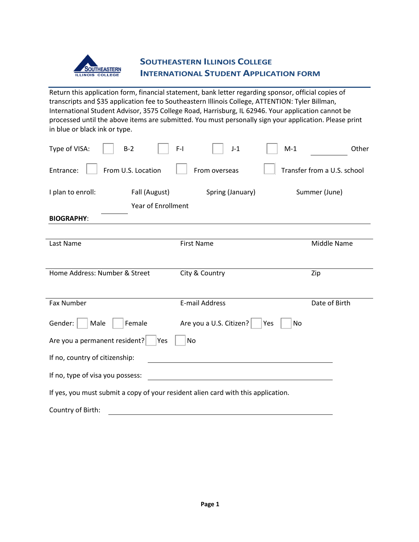

## **SOUTHEASTERN ILLINOIS COLLEGE INTERNATIONAL STUDENT APPLICATION FORM**

Return this application form, financial statement, bank letter regarding sponsor, official copies of transcripts and \$35 application fee to Southeastern Illinois College, ATTENTION: Tyler Billman, International Student Advisor, 3575 College Road, Harrisburg, IL 62946. Your application cannot be processed until the above items are submitted. You must personally sign your application. Please print in blue or black ink or type.

| Type of VISA:<br>$B-2$                                                            | $F-I$<br>$M-1$<br>$J-1$              | Other                       |  |  |  |
|-----------------------------------------------------------------------------------|--------------------------------------|-----------------------------|--|--|--|
| From U.S. Location<br>Entrance:                                                   | From overseas                        | Transfer from a U.S. school |  |  |  |
| I plan to enroll:<br>Fall (August)<br><b>Year of Enrollment</b>                   | Spring (January)                     | Summer (June)               |  |  |  |
| <b>BIOGRAPHY:</b>                                                                 |                                      |                             |  |  |  |
| Last Name                                                                         | <b>First Name</b>                    | Middle Name                 |  |  |  |
| Home Address: Number & Street                                                     | City & Country                       | Zip                         |  |  |  |
| Fax Number                                                                        | <b>E-mail Address</b>                | Date of Birth               |  |  |  |
| Gender:<br>Female<br>Male                                                         | Are you a U.S. Citizen?<br>No<br>Yes |                             |  |  |  |
| Are you a permanent resident?<br>No<br>Yes                                        |                                      |                             |  |  |  |
| If no, country of citizenship:                                                    |                                      |                             |  |  |  |
| If no, type of visa you possess:                                                  |                                      |                             |  |  |  |
| If yes, you must submit a copy of your resident alien card with this application. |                                      |                             |  |  |  |
| Country of Birth:                                                                 |                                      |                             |  |  |  |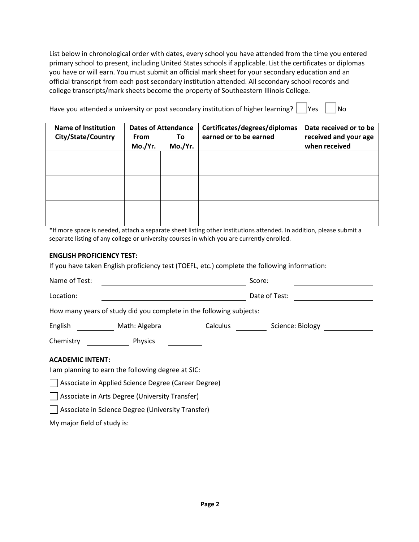List below in chronological order with dates, every school you have attended from the time you entered primary school to present, including United States schools if applicable. List the certificates or diplomas you have or will earn. You must submit an official mark sheet for your secondary education and an official transcript from each post secondary institution attended. All secondary school records and college transcripts/mark sheets become the property of Southeastern Illinois College.

| Have you attended a university or post secondary institution of higher learning? $\vert$  Yes |  | $ $ No |
|-----------------------------------------------------------------------------------------------|--|--------|
|-----------------------------------------------------------------------------------------------|--|--------|

| <b>Name of Institution</b><br><b>City/State/Country</b> | From<br>Mo./Yr. | <b>Dates of Attendance</b><br>To.<br>Mo./Yr. | Certificates/degrees/diplomas<br>earned or to be earned | Date received or to be<br>received and your age<br>when received |
|---------------------------------------------------------|-----------------|----------------------------------------------|---------------------------------------------------------|------------------------------------------------------------------|
|                                                         |                 |                                              |                                                         |                                                                  |
|                                                         |                 |                                              |                                                         |                                                                  |
|                                                         |                 |                                              |                                                         |                                                                  |

\*If more space is needed, attach a separate sheet listing other institutions attended. In addition, please submit a separate listing of any college or university courses in which you are currently enrolled.

## **ENGLISH PROFICIENCY TEST:**

| If you have taken English proficiency test (TOEFL, etc.) complete the following information: |                           |  |  |  |  |  |  |
|----------------------------------------------------------------------------------------------|---------------------------|--|--|--|--|--|--|
| Name of Test:                                                                                | Score:                    |  |  |  |  |  |  |
| Location:                                                                                    | Date of Test:             |  |  |  |  |  |  |
| How many years of study did you complete in the following subjects:                          |                           |  |  |  |  |  |  |
| Math: Algebra<br>English                                                                     | Calculus Science: Biology |  |  |  |  |  |  |
| Physics<br>Chemistry                                                                         |                           |  |  |  |  |  |  |
| <b>ACADEMIC INTENT:</b>                                                                      |                           |  |  |  |  |  |  |
| I am planning to earn the following degree at SIC:                                           |                           |  |  |  |  |  |  |
| Associate in Applied Science Degree (Career Degree)                                          |                           |  |  |  |  |  |  |
| Associate in Arts Degree (University Transfer)                                               |                           |  |  |  |  |  |  |
| Associate in Science Degree (University Transfer)                                            |                           |  |  |  |  |  |  |
| My major field of study is:                                                                  |                           |  |  |  |  |  |  |